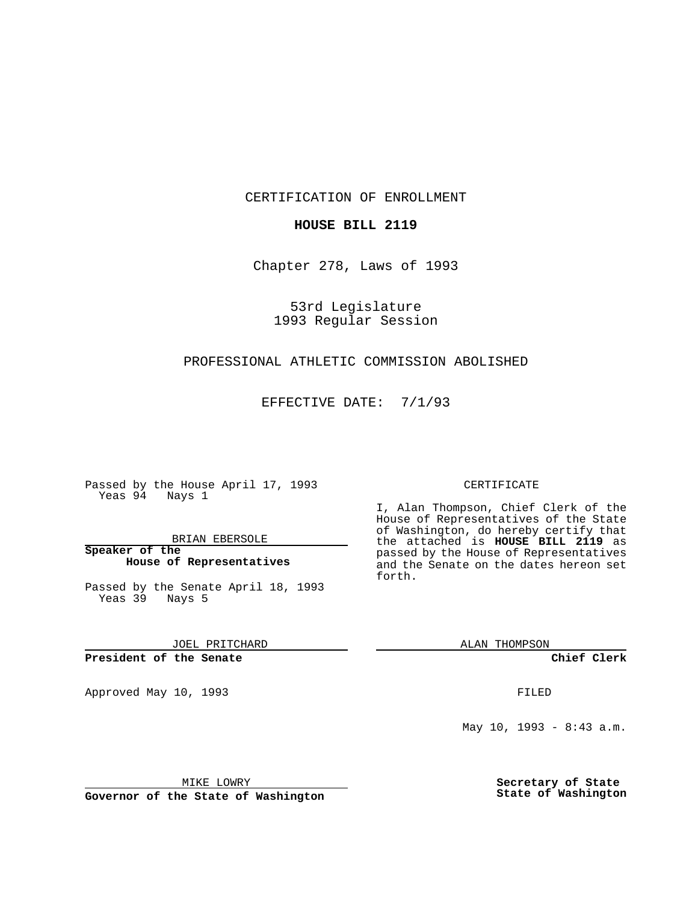CERTIFICATION OF ENROLLMENT

## **HOUSE BILL 2119**

Chapter 278, Laws of 1993

53rd Legislature 1993 Regular Session

## PROFESSIONAL ATHLETIC COMMISSION ABOLISHED

EFFECTIVE DATE: 7/1/93

Passed by the House April 17, 1993 Yeas 94 Nays 1

BRIAN EBERSOLE

**Speaker of the House of Representatives**

Passed by the Senate April 18, 1993 Yeas 39 Nays 5

JOEL PRITCHARD

## **President of the Senate**

Approved May 10, 1993 **FILED** 

#### CERTIFICATE

I, Alan Thompson, Chief Clerk of the House of Representatives of the State of Washington, do hereby certify that the attached is **HOUSE BILL 2119** as passed by the House of Representatives and the Senate on the dates hereon set forth.

ALAN THOMPSON

**Chief Clerk**

May 10, 1993 - 8:43 a.m.

MIKE LOWRY

**Governor of the State of Washington**

**Secretary of State State of Washington**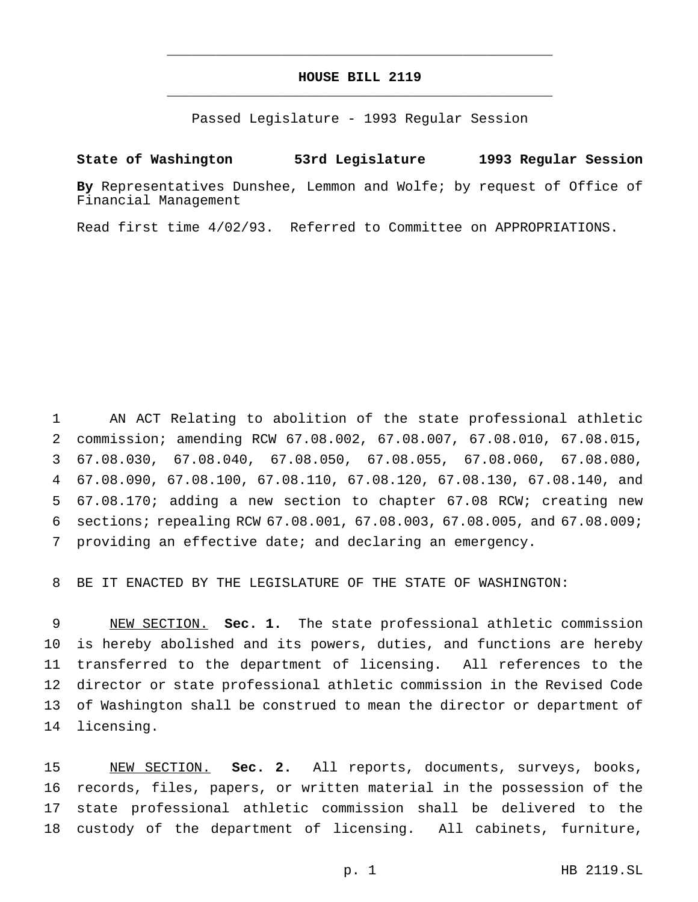# **HOUSE BILL 2119** \_\_\_\_\_\_\_\_\_\_\_\_\_\_\_\_\_\_\_\_\_\_\_\_\_\_\_\_\_\_\_\_\_\_\_\_\_\_\_\_\_\_\_\_\_\_\_

\_\_\_\_\_\_\_\_\_\_\_\_\_\_\_\_\_\_\_\_\_\_\_\_\_\_\_\_\_\_\_\_\_\_\_\_\_\_\_\_\_\_\_\_\_\_\_

Passed Legislature - 1993 Regular Session

## **State of Washington 53rd Legislature 1993 Regular Session**

**By** Representatives Dunshee, Lemmon and Wolfe; by request of Office of Financial Management

Read first time 4/02/93. Referred to Committee on APPROPRIATIONS.

 AN ACT Relating to abolition of the state professional athletic commission; amending RCW 67.08.002, 67.08.007, 67.08.010, 67.08.015, 67.08.030, 67.08.040, 67.08.050, 67.08.055, 67.08.060, 67.08.080, 67.08.090, 67.08.100, 67.08.110, 67.08.120, 67.08.130, 67.08.140, and 67.08.170; adding a new section to chapter 67.08 RCW; creating new sections; repealing RCW 67.08.001, 67.08.003, 67.08.005, and 67.08.009; providing an effective date; and declaring an emergency.

BE IT ENACTED BY THE LEGISLATURE OF THE STATE OF WASHINGTON:

 NEW SECTION. **Sec. 1.** The state professional athletic commission is hereby abolished and its powers, duties, and functions are hereby transferred to the department of licensing. All references to the director or state professional athletic commission in the Revised Code of Washington shall be construed to mean the director or department of licensing.

 NEW SECTION. **Sec. 2.** All reports, documents, surveys, books, records, files, papers, or written material in the possession of the state professional athletic commission shall be delivered to the custody of the department of licensing. All cabinets, furniture,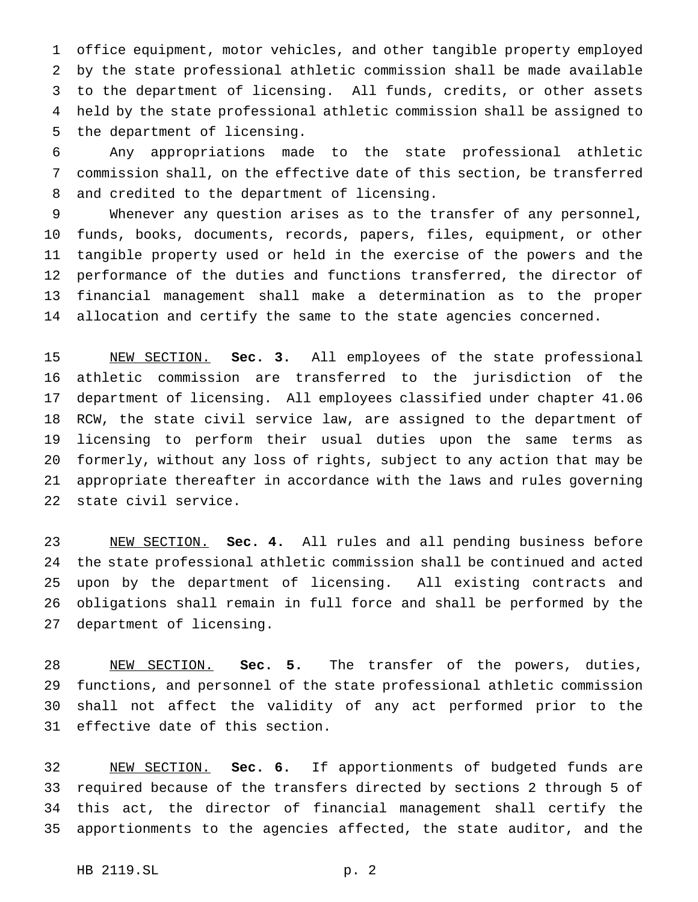office equipment, motor vehicles, and other tangible property employed by the state professional athletic commission shall be made available to the department of licensing. All funds, credits, or other assets held by the state professional athletic commission shall be assigned to the department of licensing.

 Any appropriations made to the state professional athletic commission shall, on the effective date of this section, be transferred and credited to the department of licensing.

 Whenever any question arises as to the transfer of any personnel, funds, books, documents, records, papers, files, equipment, or other tangible property used or held in the exercise of the powers and the performance of the duties and functions transferred, the director of financial management shall make a determination as to the proper allocation and certify the same to the state agencies concerned.

 NEW SECTION. **Sec. 3.** All employees of the state professional athletic commission are transferred to the jurisdiction of the department of licensing. All employees classified under chapter 41.06 RCW, the state civil service law, are assigned to the department of licensing to perform their usual duties upon the same terms as formerly, without any loss of rights, subject to any action that may be appropriate thereafter in accordance with the laws and rules governing state civil service.

 NEW SECTION. **Sec. 4.** All rules and all pending business before the state professional athletic commission shall be continued and acted upon by the department of licensing. All existing contracts and obligations shall remain in full force and shall be performed by the department of licensing.

 NEW SECTION. **Sec. 5.** The transfer of the powers, duties, functions, and personnel of the state professional athletic commission shall not affect the validity of any act performed prior to the effective date of this section.

 NEW SECTION. **Sec. 6.** If apportionments of budgeted funds are required because of the transfers directed by sections 2 through 5 of this act, the director of financial management shall certify the apportionments to the agencies affected, the state auditor, and the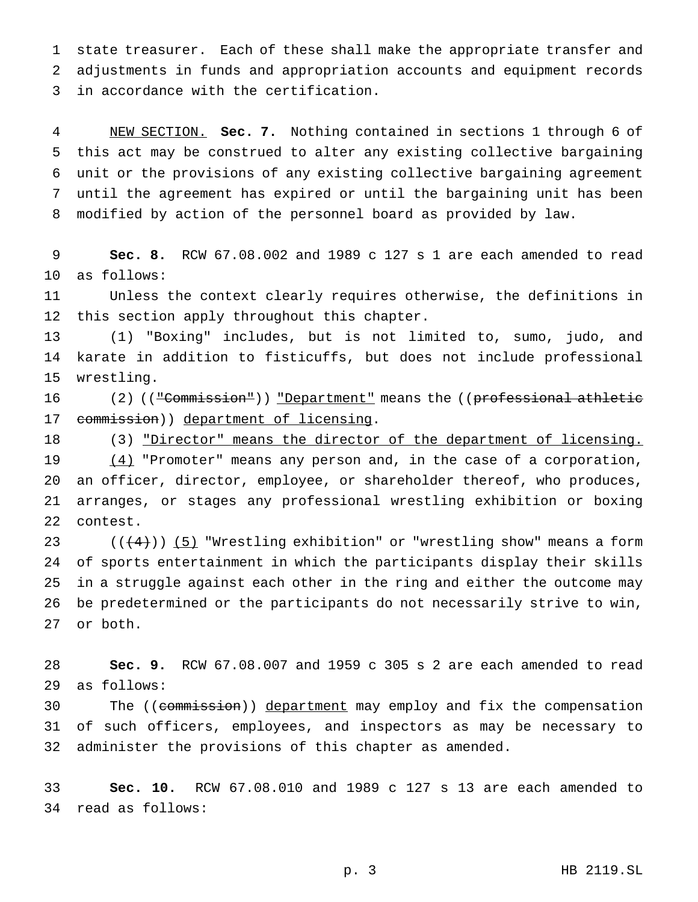state treasurer. Each of these shall make the appropriate transfer and adjustments in funds and appropriation accounts and equipment records in accordance with the certification.

 NEW SECTION. **Sec. 7.** Nothing contained in sections 1 through 6 of this act may be construed to alter any existing collective bargaining unit or the provisions of any existing collective bargaining agreement until the agreement has expired or until the bargaining unit has been modified by action of the personnel board as provided by law.

 **Sec. 8.** RCW 67.08.002 and 1989 c 127 s 1 are each amended to read as follows:

 Unless the context clearly requires otherwise, the definitions in this section apply throughout this chapter.

 (1) "Boxing" includes, but is not limited to, sumo, judo, and karate in addition to fisticuffs, but does not include professional wrestling.

16 (2) ((<del>"Commission"</del>)) <u>"Department"</u> means the ((professional athletic 17 commission)) department of licensing.

 (3) "Director" means the director of the department of licensing.  $(4)$  "Promoter" means any person and, in the case of a corporation, an officer, director, employee, or shareholder thereof, who produces, arranges, or stages any professional wrestling exhibition or boxing contest.

23 ( $(\frac{4}{4})$ ) (5) "Wrestling exhibition" or "wrestling show" means a form of sports entertainment in which the participants display their skills in a struggle against each other in the ring and either the outcome may be predetermined or the participants do not necessarily strive to win, or both.

 **Sec. 9.** RCW 67.08.007 and 1959 c 305 s 2 are each amended to read as follows:

30 The ((commission)) department may employ and fix the compensation of such officers, employees, and inspectors as may be necessary to administer the provisions of this chapter as amended.

 **Sec. 10.** RCW 67.08.010 and 1989 c 127 s 13 are each amended to read as follows: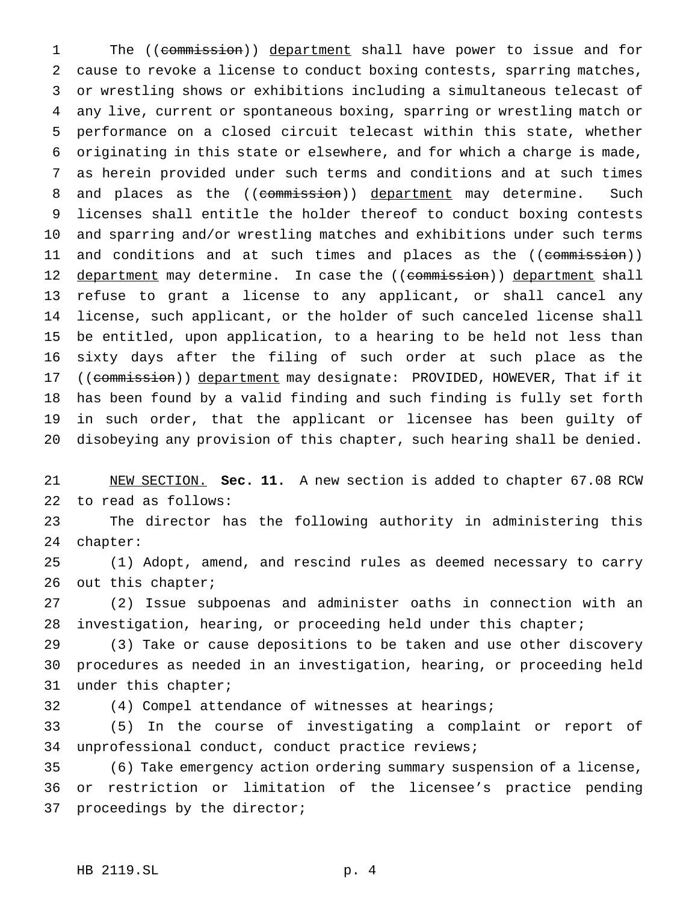1 The ((commission)) department shall have power to issue and for cause to revoke a license to conduct boxing contests, sparring matches, or wrestling shows or exhibitions including a simultaneous telecast of any live, current or spontaneous boxing, sparring or wrestling match or performance on a closed circuit telecast within this state, whether originating in this state or elsewhere, and for which a charge is made, as herein provided under such terms and conditions and at such times 8 and places as the ((commission)) department may determine. Such licenses shall entitle the holder thereof to conduct boxing contests and sparring and/or wrestling matches and exhibitions under such terms 11 and conditions and at such times and places as the ((commission)) 12 department may determine. In case the ((commission)) department shall refuse to grant a license to any applicant, or shall cancel any license, such applicant, or the holder of such canceled license shall be entitled, upon application, to a hearing to be held not less than sixty days after the filing of such order at such place as the 17 ((commission)) department may designate: PROVIDED, HOWEVER, That if it has been found by a valid finding and such finding is fully set forth in such order, that the applicant or licensee has been guilty of disobeying any provision of this chapter, such hearing shall be denied.

 NEW SECTION. **Sec. 11.** A new section is added to chapter 67.08 RCW to read as follows:

 The director has the following authority in administering this chapter:

 (1) Adopt, amend, and rescind rules as deemed necessary to carry 26 out this chapter;

 (2) Issue subpoenas and administer oaths in connection with an investigation, hearing, or proceeding held under this chapter;

 (3) Take or cause depositions to be taken and use other discovery procedures as needed in an investigation, hearing, or proceeding held under this chapter;

(4) Compel attendance of witnesses at hearings;

 (5) In the course of investigating a complaint or report of unprofessional conduct, conduct practice reviews;

 (6) Take emergency action ordering summary suspension of a license, or restriction or limitation of the licensee's practice pending proceedings by the director;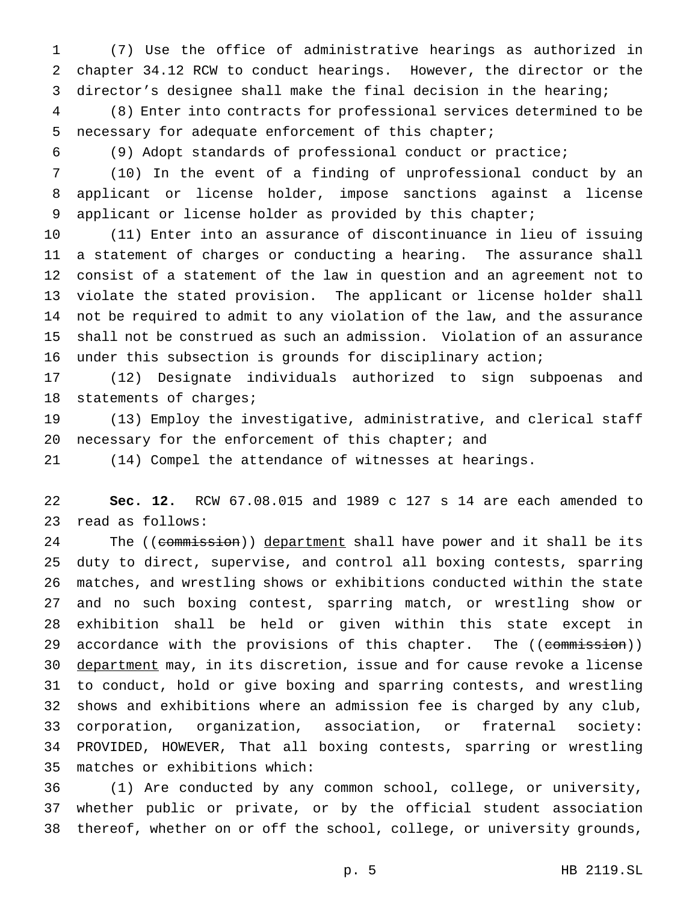(7) Use the office of administrative hearings as authorized in chapter 34.12 RCW to conduct hearings. However, the director or the director's designee shall make the final decision in the hearing;

 (8) Enter into contracts for professional services determined to be necessary for adequate enforcement of this chapter;

(9) Adopt standards of professional conduct or practice;

 (10) In the event of a finding of unprofessional conduct by an applicant or license holder, impose sanctions against a license applicant or license holder as provided by this chapter;

 (11) Enter into an assurance of discontinuance in lieu of issuing a statement of charges or conducting a hearing. The assurance shall consist of a statement of the law in question and an agreement not to violate the stated provision. The applicant or license holder shall not be required to admit to any violation of the law, and the assurance shall not be construed as such an admission. Violation of an assurance under this subsection is grounds for disciplinary action;

 (12) Designate individuals authorized to sign subpoenas and 18 statements of charges;

 (13) Employ the investigative, administrative, and clerical staff necessary for the enforcement of this chapter; and

(14) Compel the attendance of witnesses at hearings.

 **Sec. 12.** RCW 67.08.015 and 1989 c 127 s 14 are each amended to read as follows:

24 The ((commission)) department shall have power and it shall be its duty to direct, supervise, and control all boxing contests, sparring matches, and wrestling shows or exhibitions conducted within the state and no such boxing contest, sparring match, or wrestling show or exhibition shall be held or given within this state except in 29 accordance with the provisions of this chapter. The ((commission)) 30 department may, in its discretion, issue and for cause revoke a license to conduct, hold or give boxing and sparring contests, and wrestling shows and exhibitions where an admission fee is charged by any club, corporation, organization, association, or fraternal society: PROVIDED, HOWEVER, That all boxing contests, sparring or wrestling matches or exhibitions which:

 (1) Are conducted by any common school, college, or university, whether public or private, or by the official student association thereof, whether on or off the school, college, or university grounds,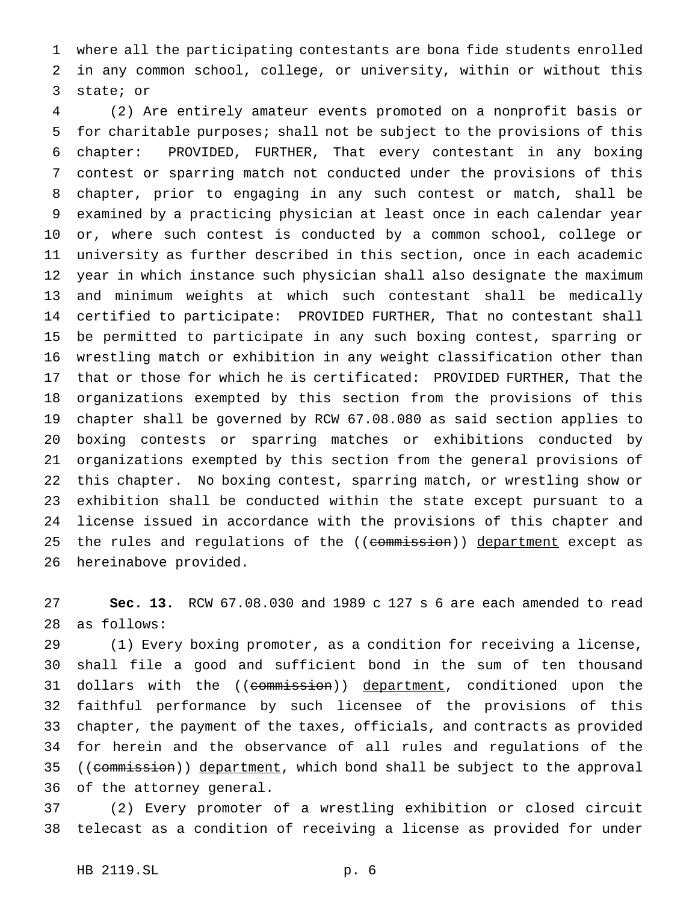where all the participating contestants are bona fide students enrolled in any common school, college, or university, within or without this state; or

 (2) Are entirely amateur events promoted on a nonprofit basis or for charitable purposes; shall not be subject to the provisions of this chapter: PROVIDED, FURTHER, That every contestant in any boxing contest or sparring match not conducted under the provisions of this chapter, prior to engaging in any such contest or match, shall be examined by a practicing physician at least once in each calendar year or, where such contest is conducted by a common school, college or university as further described in this section, once in each academic year in which instance such physician shall also designate the maximum and minimum weights at which such contestant shall be medically certified to participate: PROVIDED FURTHER, That no contestant shall be permitted to participate in any such boxing contest, sparring or wrestling match or exhibition in any weight classification other than that or those for which he is certificated: PROVIDED FURTHER, That the organizations exempted by this section from the provisions of this chapter shall be governed by RCW 67.08.080 as said section applies to boxing contests or sparring matches or exhibitions conducted by organizations exempted by this section from the general provisions of this chapter. No boxing contest, sparring match, or wrestling show or exhibition shall be conducted within the state except pursuant to a license issued in accordance with the provisions of this chapter and 25 the rules and regulations of the ((commission)) department except as hereinabove provided.

 **Sec. 13.** RCW 67.08.030 and 1989 c 127 s 6 are each amended to read as follows:

 (1) Every boxing promoter, as a condition for receiving a license, shall file a good and sufficient bond in the sum of ten thousand 31 dollars with the ((commission)) department, conditioned upon the faithful performance by such licensee of the provisions of this chapter, the payment of the taxes, officials, and contracts as provided for herein and the observance of all rules and regulations of the 35 ((commission)) department, which bond shall be subject to the approval of the attorney general.

 (2) Every promoter of a wrestling exhibition or closed circuit telecast as a condition of receiving a license as provided for under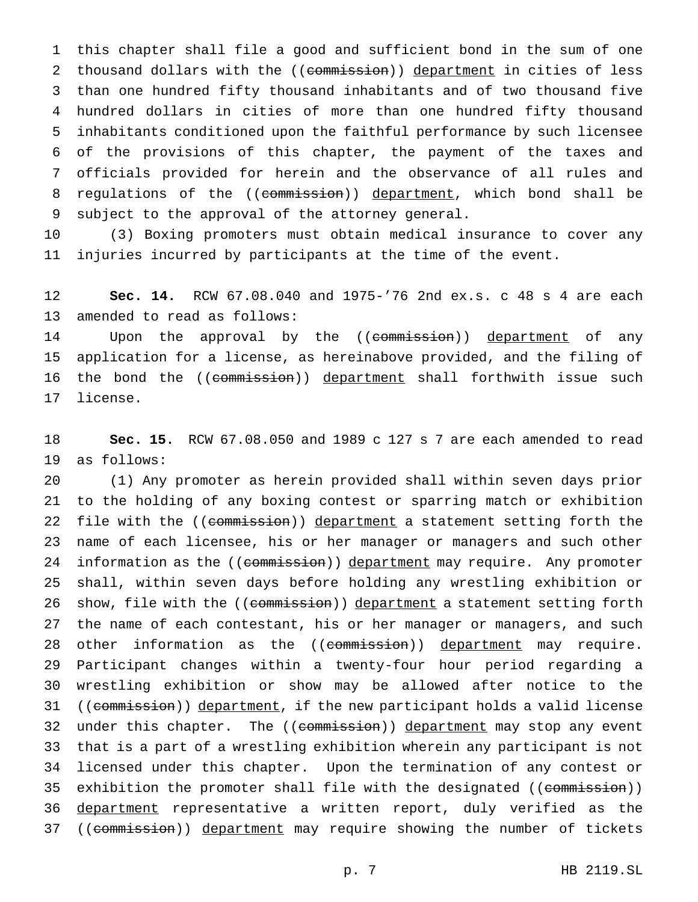this chapter shall file a good and sufficient bond in the sum of one 2 thousand dollars with the ((commission)) department in cities of less than one hundred fifty thousand inhabitants and of two thousand five hundred dollars in cities of more than one hundred fifty thousand inhabitants conditioned upon the faithful performance by such licensee of the provisions of this chapter, the payment of the taxes and officials provided for herein and the observance of all rules and 8 regulations of the ((commission)) department, which bond shall be subject to the approval of the attorney general.

 (3) Boxing promoters must obtain medical insurance to cover any injuries incurred by participants at the time of the event.

 **Sec. 14.** RCW 67.08.040 and 1975-'76 2nd ex.s. c 48 s 4 are each amended to read as follows:

14 Upon the approval by the ((commission)) department of any application for a license, as hereinabove provided, and the filing of 16 the bond the ((commission)) department shall forthwith issue such license.

 **Sec. 15.** RCW 67.08.050 and 1989 c 127 s 7 are each amended to read as follows:

 (1) Any promoter as herein provided shall within seven days prior to the holding of any boxing contest or sparring match or exhibition 22 file with the ((commission)) department a statement setting forth the name of each licensee, his or her manager or managers and such other 24 information as the ((commission)) department may require. Any promoter shall, within seven days before holding any wrestling exhibition or 26 show, file with the ((commission)) department a statement setting forth the name of each contestant, his or her manager or managers, and such 28 other information as the ((commission)) department may require. Participant changes within a twenty-four hour period regarding a wrestling exhibition or show may be allowed after notice to the 31 ((commission)) department, if the new participant holds a valid license 32 under this chapter. The ((commission)) department may stop any event that is a part of a wrestling exhibition wherein any participant is not licensed under this chapter. Upon the termination of any contest or 35 exhibition the promoter shall file with the designated ((commission)) department representative a written report, duly verified as the 37 ((commission)) department may require showing the number of tickets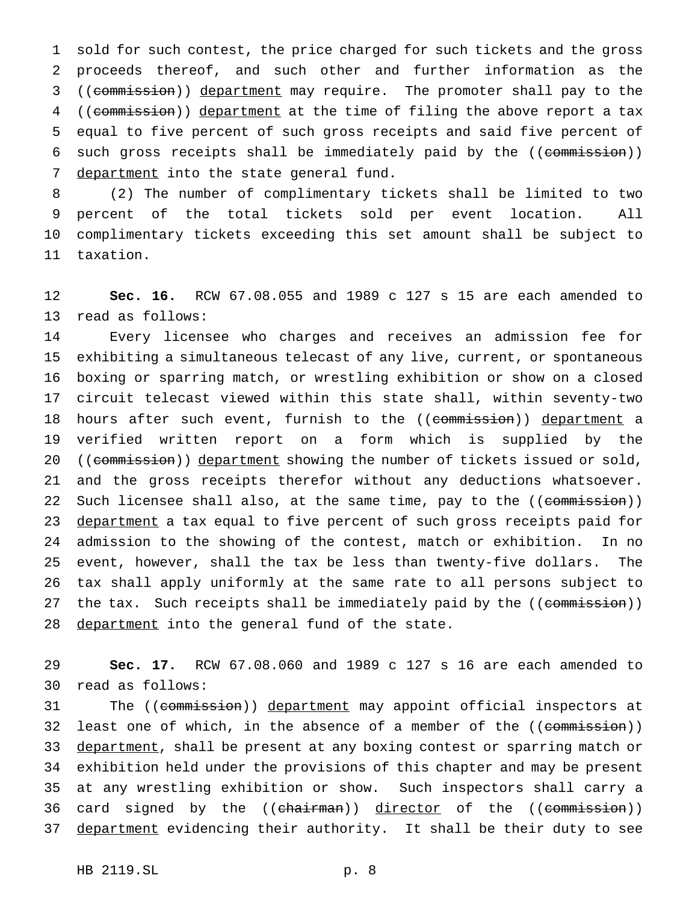1 sold for such contest, the price charged for such tickets and the gross 2 proceeds thereof, and such other and further information as the 3 ((commission)) department may require. The promoter shall pay to the 4 ((commission)) department at the time of filing the above report a tax 5 equal to five percent of such gross receipts and said five percent of 6 such gross receipts shall be immediately paid by the ((commission)) 7 department into the state general fund.

 (2) The number of complimentary tickets shall be limited to two percent of the total tickets sold per event location. All complimentary tickets exceeding this set amount shall be subject to taxation.

12 **Sec. 16.** RCW 67.08.055 and 1989 c 127 s 15 are each amended to 13 read as follows:

14 Every licensee who charges and receives an admission fee for 15 exhibiting a simultaneous telecast of any live, current, or spontaneous 16 boxing or sparring match, or wrestling exhibition or show on a closed 17 circuit telecast viewed within this state shall, within seventy-two 18 hours after such event, furnish to the ((commission)) department a 19 verified written report on a form which is supplied by the 20 ((commission)) department showing the number of tickets issued or sold, 21 and the gross receipts therefor without any deductions whatsoever. 22 Such licensee shall also, at the same time, pay to the ((commission)) 23 department a tax equal to five percent of such gross receipts paid for 24 admission to the showing of the contest, match or exhibition. In no 25 event, however, shall the tax be less than twenty-five dollars. The 26 tax shall apply uniformly at the same rate to all persons subject to 27 the tax. Such receipts shall be immediately paid by the ((commission)) 28 <u>department</u> into the general fund of the state.

29 **Sec. 17.** RCW 67.08.060 and 1989 c 127 s 16 are each amended to 30 read as follows:

31 The ((commission)) department may appoint official inspectors at 32 least one of which, in the absence of a member of the ((commission)) 33 department, shall be present at any boxing contest or sparring match or 34 exhibition held under the provisions of this chapter and may be present 35 at any wrestling exhibition or show. Such inspectors shall carry a 36 card signed by the ((chairman)) director of the ((commission)) 37 department evidencing their authority. It shall be their duty to see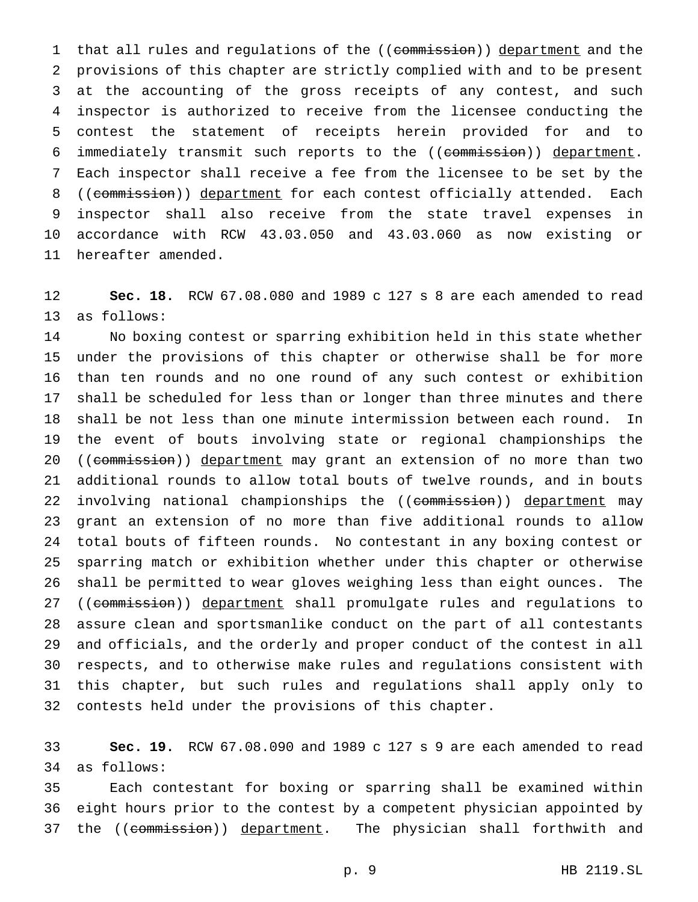1 that all rules and regulations of the ((commission)) department and the provisions of this chapter are strictly complied with and to be present at the accounting of the gross receipts of any contest, and such inspector is authorized to receive from the licensee conducting the contest the statement of receipts herein provided for and to 6 immediately transmit such reports to the ((commission)) department. Each inspector shall receive a fee from the licensee to be set by the 8 ((commission)) department for each contest officially attended. Each inspector shall also receive from the state travel expenses in accordance with RCW 43.03.050 and 43.03.060 as now existing or hereafter amended.

 **Sec. 18.** RCW 67.08.080 and 1989 c 127 s 8 are each amended to read as follows:

 No boxing contest or sparring exhibition held in this state whether under the provisions of this chapter or otherwise shall be for more than ten rounds and no one round of any such contest or exhibition shall be scheduled for less than or longer than three minutes and there shall be not less than one minute intermission between each round. In the event of bouts involving state or regional championships the 20 ((commission)) department may grant an extension of no more than two additional rounds to allow total bouts of twelve rounds, and in bouts 22 involving national championships the ((commission)) department may grant an extension of no more than five additional rounds to allow total bouts of fifteen rounds. No contestant in any boxing contest or sparring match or exhibition whether under this chapter or otherwise shall be permitted to wear gloves weighing less than eight ounces. The 27 ((commission)) department shall promulgate rules and regulations to assure clean and sportsmanlike conduct on the part of all contestants and officials, and the orderly and proper conduct of the contest in all respects, and to otherwise make rules and regulations consistent with this chapter, but such rules and regulations shall apply only to contests held under the provisions of this chapter.

 **Sec. 19.** RCW 67.08.090 and 1989 c 127 s 9 are each amended to read as follows:

 Each contestant for boxing or sparring shall be examined within eight hours prior to the contest by a competent physician appointed by 37 the ((commission)) department. The physician shall forthwith and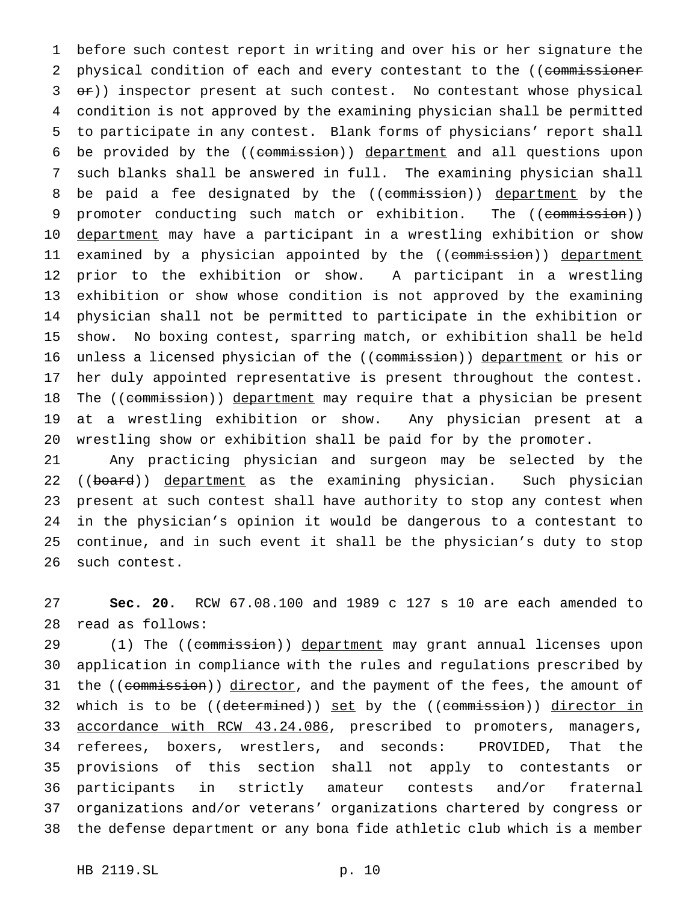before such contest report in writing and over his or her signature the 2 physical condition of each and every contestant to the ((commissioner 3 or)) inspector present at such contest. No contestant whose physical condition is not approved by the examining physician shall be permitted to participate in any contest. Blank forms of physicians' report shall be provided by the ((commission)) department and all questions upon such blanks shall be answered in full. The examining physician shall 8 be paid a fee designated by the ((commission)) department by the 9 promoter conducting such match or exhibition. The ((commission)) 10 department may have a participant in a wrestling exhibition or show 11 examined by a physician appointed by the ((<del>commission</del>)) <u>department</u> prior to the exhibition or show. A participant in a wrestling exhibition or show whose condition is not approved by the examining physician shall not be permitted to participate in the exhibition or show. No boxing contest, sparring match, or exhibition shall be held 16 unless a licensed physician of the ((commission)) department or his or her duly appointed representative is present throughout the contest. 18 The ((commission)) department may require that a physician be present at a wrestling exhibition or show. Any physician present at a wrestling show or exhibition shall be paid for by the promoter.

 Any practicing physician and surgeon may be selected by the 22 ((board)) department as the examining physician. Such physician present at such contest shall have authority to stop any contest when in the physician's opinion it would be dangerous to a contestant to continue, and in such event it shall be the physician's duty to stop such contest.

 **Sec. 20.** RCW 67.08.100 and 1989 c 127 s 10 are each amended to read as follows:

29 (1) The ((commission)) department may grant annual licenses upon application in compliance with the rules and regulations prescribed by 31 the ((commission)) director, and the payment of the fees, the amount of 32 which is to be ((<del>determined</del>)) <u>set</u> by the ((<del>commission</del>)) <u>director in</u> 33 accordance with RCW 43.24.086, prescribed to promoters, managers, referees, boxers, wrestlers, and seconds: PROVIDED, That the provisions of this section shall not apply to contestants or participants in strictly amateur contests and/or fraternal organizations and/or veterans' organizations chartered by congress or the defense department or any bona fide athletic club which is a member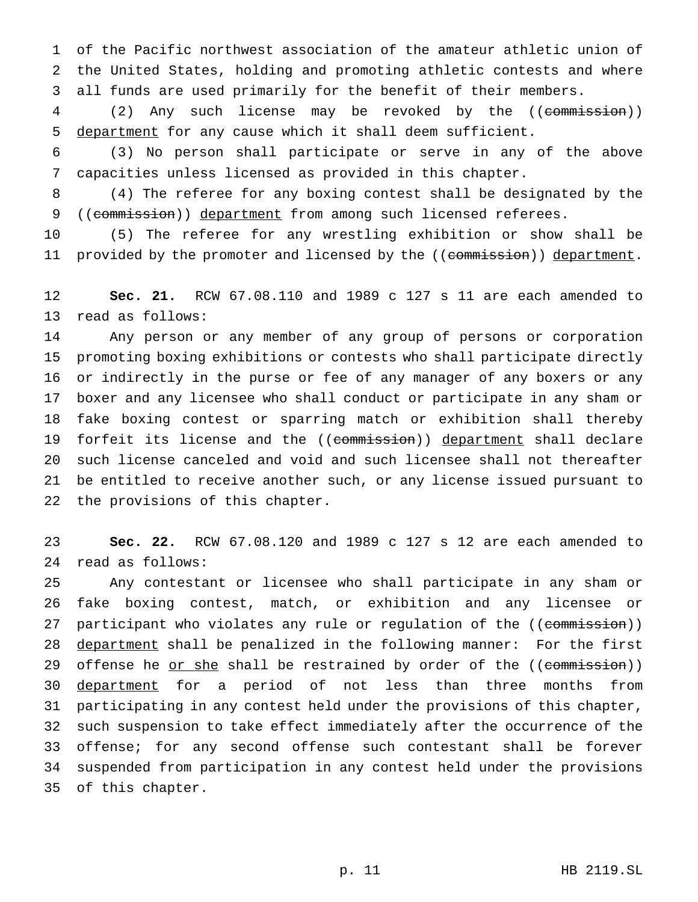of the Pacific northwest association of the amateur athletic union of the United States, holding and promoting athletic contests and where all funds are used primarily for the benefit of their members.

4 (2) Any such license may be revoked by the ((commission)) 5 department for any cause which it shall deem sufficient.

 (3) No person shall participate or serve in any of the above capacities unless licensed as provided in this chapter.

 (4) The referee for any boxing contest shall be designated by the 9 ((commission)) department from among such licensed referees.

 (5) The referee for any wrestling exhibition or show shall be 11 provided by the promoter and licensed by the ((commission)) department.

 **Sec. 21.** RCW 67.08.110 and 1989 c 127 s 11 are each amended to read as follows:

 Any person or any member of any group of persons or corporation promoting boxing exhibitions or contests who shall participate directly or indirectly in the purse or fee of any manager of any boxers or any boxer and any licensee who shall conduct or participate in any sham or fake boxing contest or sparring match or exhibition shall thereby 19 forfeit its license and the ((commission)) department shall declare such license canceled and void and such licensee shall not thereafter be entitled to receive another such, or any license issued pursuant to the provisions of this chapter.

 **Sec. 22.** RCW 67.08.120 and 1989 c 127 s 12 are each amended to read as follows:

 Any contestant or licensee who shall participate in any sham or fake boxing contest, match, or exhibition and any licensee or 27 participant who violates any rule or regulation of the ((commission)) 28 department shall be penalized in the following manner: For the first 29 offense he or she shall be restrained by order of the ((commission)) 30 department for a period of not less than three months from participating in any contest held under the provisions of this chapter, such suspension to take effect immediately after the occurrence of the offense; for any second offense such contestant shall be forever suspended from participation in any contest held under the provisions of this chapter.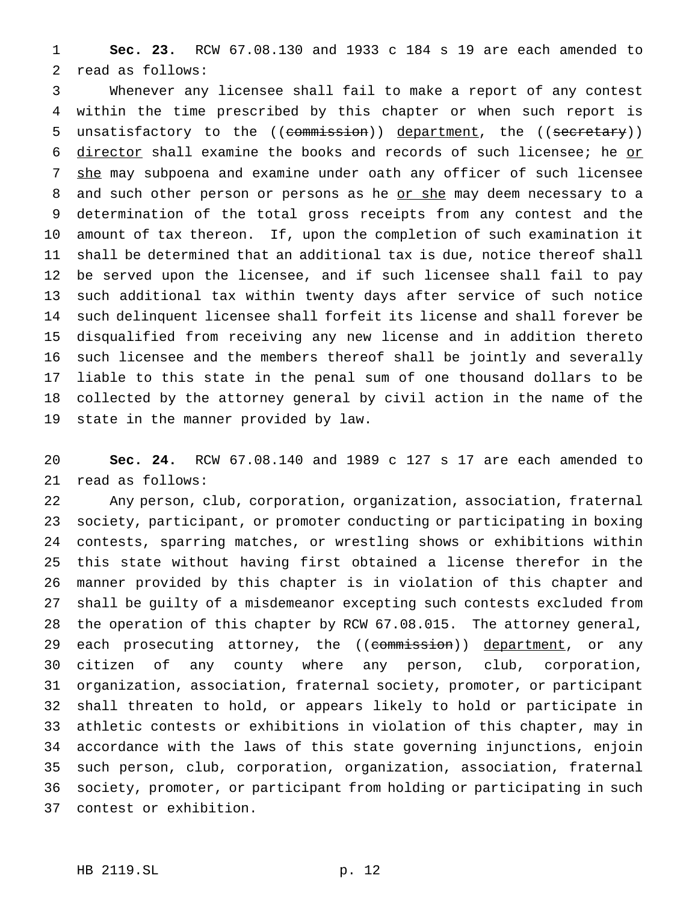**Sec. 23.** RCW 67.08.130 and 1933 c 184 s 19 are each amended to read as follows:

 Whenever any licensee shall fail to make a report of any contest within the time prescribed by this chapter or when such report is 5 unsatisfactory to the ((commission)) department, the ((secretary)) 6 director shall examine the books and records of such licensee; he or 7 she may subpoena and examine under oath any officer of such licensee 8 and such other person or persons as he or she may deem necessary to a determination of the total gross receipts from any contest and the amount of tax thereon. If, upon the completion of such examination it shall be determined that an additional tax is due, notice thereof shall be served upon the licensee, and if such licensee shall fail to pay such additional tax within twenty days after service of such notice such delinquent licensee shall forfeit its license and shall forever be disqualified from receiving any new license and in addition thereto such licensee and the members thereof shall be jointly and severally liable to this state in the penal sum of one thousand dollars to be collected by the attorney general by civil action in the name of the state in the manner provided by law.

 **Sec. 24.** RCW 67.08.140 and 1989 c 127 s 17 are each amended to read as follows:

 Any person, club, corporation, organization, association, fraternal society, participant, or promoter conducting or participating in boxing contests, sparring matches, or wrestling shows or exhibitions within this state without having first obtained a license therefor in the manner provided by this chapter is in violation of this chapter and shall be guilty of a misdemeanor excepting such contests excluded from the operation of this chapter by RCW 67.08.015. The attorney general, 29 each prosecuting attorney, the ((commission)) department, or any citizen of any county where any person, club, corporation, organization, association, fraternal society, promoter, or participant shall threaten to hold, or appears likely to hold or participate in athletic contests or exhibitions in violation of this chapter, may in accordance with the laws of this state governing injunctions, enjoin such person, club, corporation, organization, association, fraternal society, promoter, or participant from holding or participating in such contest or exhibition.